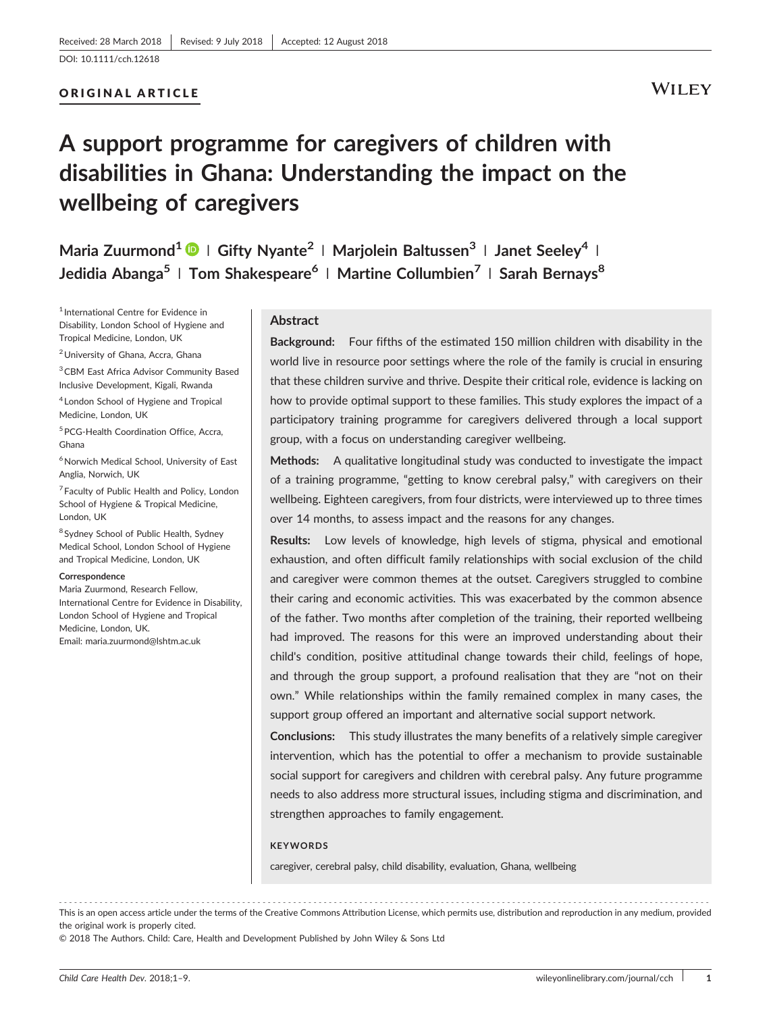### ORIGINAL ARTICLE

## **WILEY**

## **A support programme for caregivers of children with disabilities in Ghana: Understanding the impact on the wellbeing of caregivers**

**Maria Zuurmond<sup>1</sup> <sup>|</sup> Gifty Nyante2 <sup>|</sup> Marjolein Baltussen3 <sup>|</sup> Janet Seeley<sup>4</sup> <sup>|</sup> Jedidia Abanga5 <sup>|</sup> Tom Shakespeare6 <sup>|</sup> Martine Collumbien<sup>7</sup> <sup>|</sup> Sarah Bernays<sup>8</sup>**

<sup>1</sup> International Centre for Evidence in Disability, London School of Hygiene and Tropical Medicine, London, UK

2University of Ghana, Accra, Ghana

3CBM East Africa Advisor Community Based Inclusive Development, Kigali, Rwanda

<sup>4</sup> London School of Hygiene and Tropical Medicine, London, UK

<sup>5</sup> PCG-Health Coordination Office, Accra, Ghana

 $6$  Norwich Medical School, University of East Anglia, Norwich, UK

<sup>7</sup> Faculty of Public Health and Policy, London School of Hygiene & Tropical Medicine, London, UK

<sup>8</sup> Sydney School of Public Health, Sydney Medical School, London School of Hygiene and Tropical Medicine, London, UK

#### **Correspondence**

Maria Zuurmond, Research Fellow, International Centre for Evidence in Disability, London School of Hygiene and Tropical Medicine, London, UK. Email: [maria.zuurmond@lshtm.ac.uk](mailto:maria.zuurmond@lshtm.ac.uk)

#### **Abstract**

**Background:** Four fifths of the estimated 150 million children with disability in the world live in resource poor settings where the role of the family is crucial in ensuring that these children survive and thrive. Despite their critical role, evidence is lacking on how to provide optimal support to these families. This study explores the impact of a participatory training programme for caregivers delivered through a local support group, with a focus on understanding caregiver wellbeing.

**Methods:** A qualitative longitudinal study was conducted to investigate the impact of a training programme, "getting to know cerebral palsy," with caregivers on their wellbeing. Eighteen caregivers, from four districts, were interviewed up to three times over 14 months, to assess impact and the reasons for any changes.

**Results:** Low levels of knowledge, high levels of stigma, physical and emotional exhaustion, and often difficult family relationships with social exclusion of the child and caregiver were common themes at the outset. Caregivers struggled to combine their caring and economic activities. This was exacerbated by the common absence of the father. Two months after completion of the training, their reported wellbeing had improved. The reasons for this were an improved understanding about their child's condition, positive attitudinal change towards their child, feelings of hope, and through the group support, a profound realisation that they are "not on their own." While relationships within the family remained complex in many cases, the support group offered an important and alternative social support network.

**Conclusions:** This study illustrates the many benefits of a relatively simple caregiver intervention, which has the potential to offer a mechanism to provide sustainable social support for caregivers and children with cerebral palsy. Any future programme needs to also address more structural issues, including stigma and discrimination, and strengthen approaches to family engagement.

#### **KEYWORDS**

caregiver, cerebral palsy, child disability, evaluation, Ghana, wellbeing

------------------------------------------------------------------------------------------------------------------------------- - This is an open access article under the terms of the [Creative Commons Attribution](http://creativecommons.org/licenses/by/4.0/) License, which permits use, distribution and reproduction in any medium, provided the original work is properly cited.

© 2018 The Authors. Child: Care, Health and Development Published by John Wiley & Sons Ltd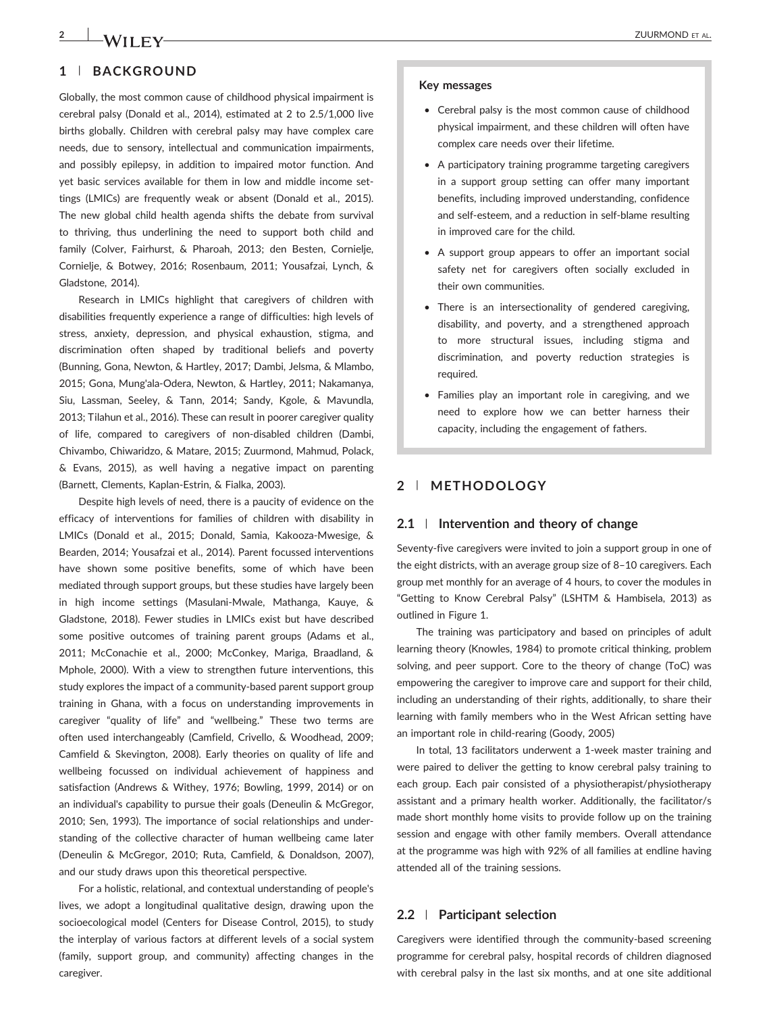# **1** | **BACKGROUND**

Globally, the most common cause of childhood physical impairment is cerebral palsy (Donald et al., 2014), estimated at 2 to 2.5/1,000 live births globally. Children with cerebral palsy may have complex care needs, due to sensory, intellectual and communication impairments, and possibly epilepsy, in addition to impaired motor function. And yet basic services available for them in low and middle income settings (LMICs) are frequently weak or absent (Donald et al., 2015). The new global child health agenda shifts the debate from survival to thriving, thus underlining the need to support both child and family (Colver, Fairhurst, & Pharoah, 2013; den Besten, Cornielje, Cornielje, & Botwey, 2016; Rosenbaum, 2011; Yousafzai, Lynch, & Gladstone, 2014).

Research in LMICs highlight that caregivers of children with disabilities frequently experience a range of difficulties: high levels of stress, anxiety, depression, and physical exhaustion, stigma, and discrimination often shaped by traditional beliefs and poverty (Bunning, Gona, Newton, & Hartley, 2017; Dambi, Jelsma, & Mlambo, 2015; Gona, Mung'ala‐Odera, Newton, & Hartley, 2011; Nakamanya, Siu, Lassman, Seeley, & Tann, 2014; Sandy, Kgole, & Mavundla, 2013; Tilahun et al., 2016). These can result in poorer caregiver quality of life, compared to caregivers of non‐disabled children (Dambi, Chivambo, Chiwaridzo, & Matare, 2015; Zuurmond, Mahmud, Polack, & Evans, 2015), as well having a negative impact on parenting (Barnett, Clements, Kaplan‐Estrin, & Fialka, 2003).

Despite high levels of need, there is a paucity of evidence on the efficacy of interventions for families of children with disability in LMICs (Donald et al., 2015; Donald, Samia, Kakooza‐Mwesige, & Bearden, 2014; Yousafzai et al., 2014). Parent focussed interventions have shown some positive benefits, some of which have been mediated through support groups, but these studies have largely been in high income settings (Masulani‐Mwale, Mathanga, Kauye, & Gladstone, 2018). Fewer studies in LMICs exist but have described some positive outcomes of training parent groups (Adams et al., 2011; McConachie et al., 2000; McConkey, Mariga, Braadland, & Mphole, 2000). With a view to strengthen future interventions, this study explores the impact of a community‐based parent support group training in Ghana, with a focus on understanding improvements in caregiver "quality of life" and "wellbeing." These two terms are often used interchangeably (Camfield, Crivello, & Woodhead, 2009; Camfield & Skevington, 2008). Early theories on quality of life and wellbeing focussed on individual achievement of happiness and satisfaction (Andrews & Withey, 1976; Bowling, 1999, 2014) or on an individual's capability to pursue their goals (Deneulin & McGregor, 2010; Sen, 1993). The importance of social relationships and understanding of the collective character of human wellbeing came later (Deneulin & McGregor, 2010; Ruta, Camfield, & Donaldson, 2007), and our study draws upon this theoretical perspective.

For a holistic, relational, and contextual understanding of people's lives, we adopt a longitudinal qualitative design, drawing upon the socioecological model (Centers for Disease Control, 2015), to study the interplay of various factors at different levels of a social system (family, support group, and community) affecting changes in the caregiver.

#### **Key messages**

- Cerebral palsy is the most common cause of childhood physical impairment, and these children will often have complex care needs over their lifetime.
- A participatory training programme targeting caregivers in a support group setting can offer many important benefits, including improved understanding, confidence and self‐esteem, and a reduction in self‐blame resulting in improved care for the child.
- A support group appears to offer an important social safety net for caregivers often socially excluded in their own communities.
- There is an intersectionality of gendered caregiving, disability, and poverty, and a strengthened approach to more structural issues, including stigma and discrimination, and poverty reduction strategies is required.
- Families play an important role in caregiving, and we need to explore how we can better harness their capacity, including the engagement of fathers.

#### **2** | **METHODOLOGY**

#### **2.1** | **Intervention and theory of change**

Seventy‐five caregivers were invited to join a support group in one of the eight districts, with an average group size of 8–10 caregivers. Each group met monthly for an average of 4 hours, to cover the modules in "Getting to Know Cerebral Palsy" (LSHTM & Hambisela, 2013) as outlined in Figure 1.

The training was participatory and based on principles of adult learning theory (Knowles, 1984) to promote critical thinking, problem solving, and peer support. Core to the theory of change (ToC) was empowering the caregiver to improve care and support for their child, including an understanding of their rights, additionally, to share their learning with family members who in the West African setting have an important role in child‐rearing (Goody, 2005)

In total, 13 facilitators underwent a 1‐week master training and were paired to deliver the getting to know cerebral palsy training to each group. Each pair consisted of a physiotherapist/physiotherapy assistant and a primary health worker. Additionally, the facilitator/s made short monthly home visits to provide follow up on the training session and engage with other family members. Overall attendance at the programme was high with 92% of all families at endline having attended all of the training sessions.

#### **2.2** | **Participant selection**

Caregivers were identified through the community‐based screening programme for cerebral palsy, hospital records of children diagnosed with cerebral palsy in the last six months, and at one site additional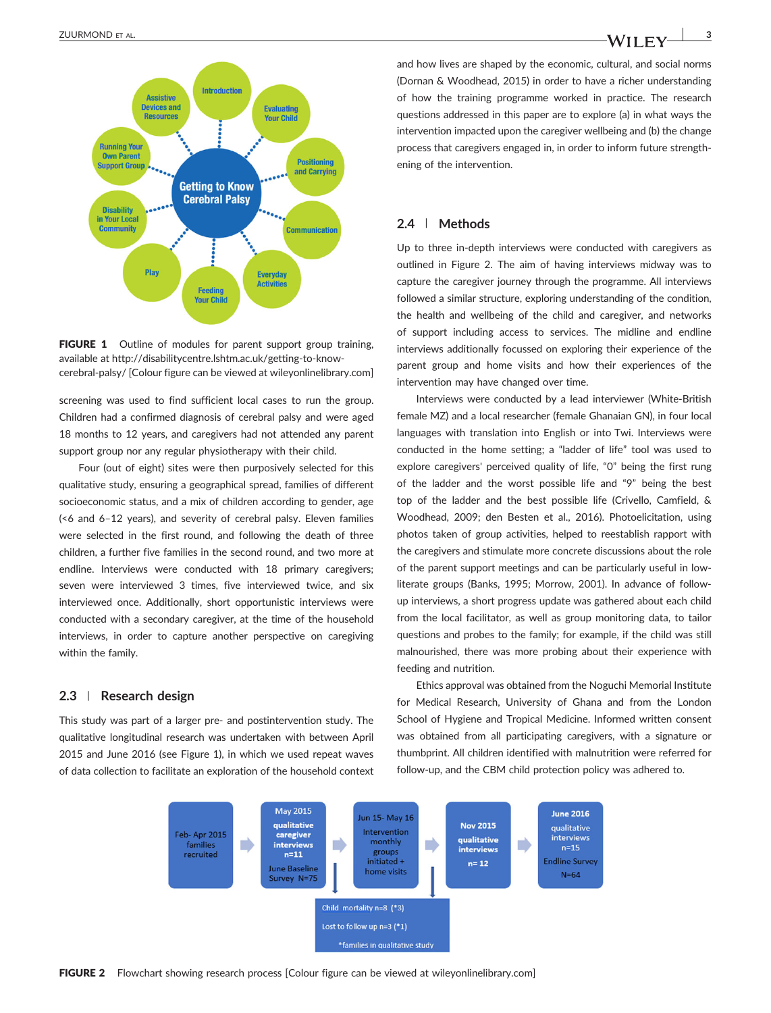

FIGURE 1 Outline of modules for parent support group training, available at [http://disabilitycentre.lshtm.ac.uk/getting](http://disabilitycentre.lshtm.ac.uk/getting-to-know-cerebral-palsy/)‐to‐know‐ [cerebral](http://disabilitycentre.lshtm.ac.uk/getting-to-know-cerebral-palsy/)‐palsy/ [Colour figure can be viewed at [wileyonlinelibrary.com](http://wileyonlinelibrary.com)]

screening was used to find sufficient local cases to run the group. Children had a confirmed diagnosis of cerebral palsy and were aged 18 months to 12 years, and caregivers had not attended any parent support group nor any regular physiotherapy with their child.

Four (out of eight) sites were then purposively selected for this qualitative study, ensuring a geographical spread, families of different socioeconomic status, and a mix of children according to gender, age (<6 and 6–12 years), and severity of cerebral palsy. Eleven families were selected in the first round, and following the death of three children, a further five families in the second round, and two more at endline. Interviews were conducted with 18 primary caregivers; seven were interviewed 3 times, five interviewed twice, and six interviewed once. Additionally, short opportunistic interviews were conducted with a secondary caregiver, at the time of the household interviews, in order to capture another perspective on caregiving within the family.

#### **2.3** | **Research design**

This study was part of a larger pre‐ and postintervention study. The qualitative longitudinal research was undertaken with between April 2015 and June 2016 (see Figure 1), in which we used repeat waves of data collection to facilitate an exploration of the household context and how lives are shaped by the economic, cultural, and social norms (Dornan & Woodhead, 2015) in order to have a richer understanding of how the training programme worked in practice. The research questions addressed in this paper are to explore (a) in what ways the intervention impacted upon the caregiver wellbeing and (b) the change process that caregivers engaged in, in order to inform future strengthening of the intervention.

#### **2.4** | **Methods**

Up to three in‐depth interviews were conducted with caregivers as outlined in Figure 2. The aim of having interviews midway was to capture the caregiver journey through the programme. All interviews followed a similar structure, exploring understanding of the condition, the health and wellbeing of the child and caregiver, and networks of support including access to services. The midline and endline interviews additionally focussed on exploring their experience of the parent group and home visits and how their experiences of the intervention may have changed over time.

Interviews were conducted by a lead interviewer (White‐British female MZ) and a local researcher (female Ghanaian GN), in four local languages with translation into English or into Twi. Interviews were conducted in the home setting; a "ladder of life" tool was used to explore caregivers' perceived quality of life, "0" being the first rung of the ladder and the worst possible life and "9" being the best top of the ladder and the best possible life (Crivello, Camfield, & Woodhead, 2009; den Besten et al., 2016). Photoelicitation, using photos taken of group activities, helped to reestablish rapport with the caregivers and stimulate more concrete discussions about the role of the parent support meetings and can be particularly useful in low‐ literate groups (Banks, 1995; Morrow, 2001). In advance of follow‐ up interviews, a short progress update was gathered about each child from the local facilitator, as well as group monitoring data, to tailor questions and probes to the family; for example, if the child was still malnourished, there was more probing about their experience with feeding and nutrition.

Ethics approval was obtained from the Noguchi Memorial Institute for Medical Research, University of Ghana and from the London School of Hygiene and Tropical Medicine. Informed written consent was obtained from all participating caregivers, with a signature or thumbprint. All children identified with malnutrition were referred for follow-up, and the CBM child protection policy was adhered to.

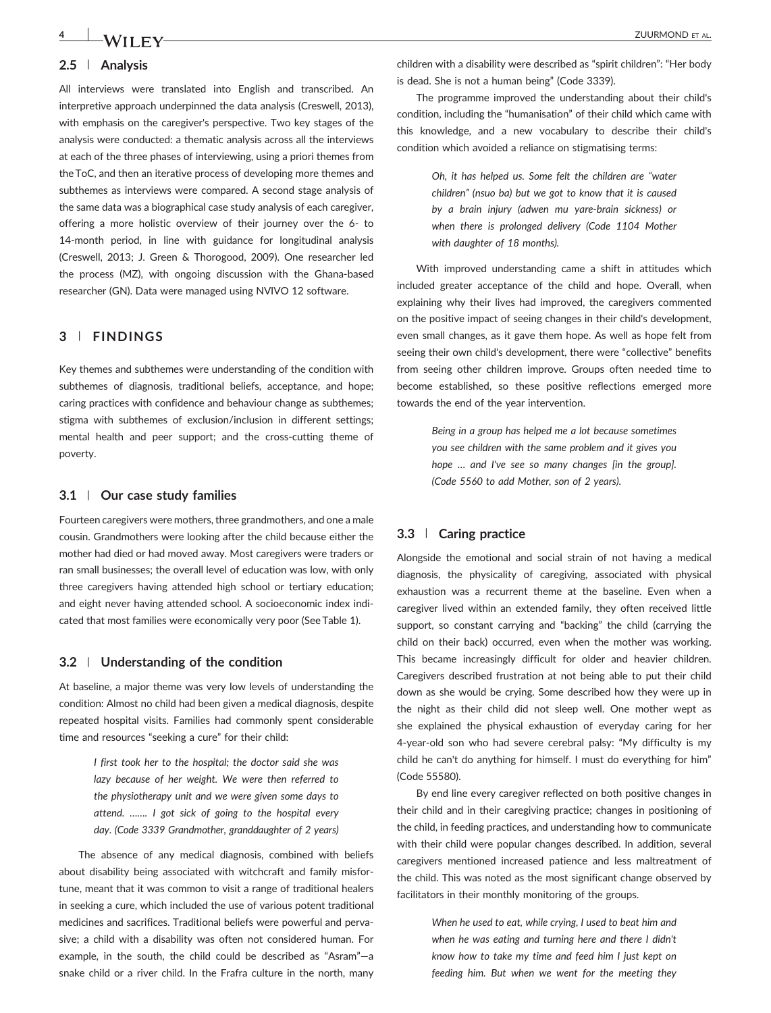## **2.5** | **Analysis**

All interviews were translated into English and transcribed. An interpretive approach underpinned the data analysis (Creswell, 2013), with emphasis on the caregiver's perspective. Two key stages of the analysis were conducted: a thematic analysis across all the interviews at each of the three phases of interviewing, using a priori themes from the ToC, and then an iterative process of developing more themes and subthemes as interviews were compared. A second stage analysis of the same data was a biographical case study analysis of each caregiver, offering a more holistic overview of their journey over the 6‐ to 14‐month period, in line with guidance for longitudinal analysis (Creswell, 2013; J. Green & Thorogood, 2009). One researcher led the process (MZ), with ongoing discussion with the Ghana‐based researcher (GN). Data were managed using NVIVO 12 software.

#### **3** | **FINDINGS**

Key themes and subthemes were understanding of the condition with subthemes of diagnosis, traditional beliefs, acceptance, and hope; caring practices with confidence and behaviour change as subthemes; stigma with subthemes of exclusion/inclusion in different settings; mental health and peer support; and the cross-cutting theme of poverty.

#### **3.1** | **Our case study families**

Fourteen caregivers were mothers, three grandmothers, and one a male cousin. Grandmothers were looking after the child because either the mother had died or had moved away. Most caregivers were traders or ran small businesses; the overall level of education was low, with only three caregivers having attended high school or tertiary education; and eight never having attended school. A socioeconomic index indicated that most families were economically very poor (See Table 1).

#### **3.2** | **Understanding of the condition**

At baseline, a major theme was very low levels of understanding the condition: Almost no child had been given a medical diagnosis, despite repeated hospital visits. Families had commonly spent considerable time and resources "seeking a cure" for their child:

> *I first took her to the hospital; the doctor said she was lazy because of her weight. We were then referred to the physiotherapy unit and we were given some days to attend. ……. I got sick of going to the hospital every day. (Code 3339 Grandmother, granddaughter of 2 years)*

The absence of any medical diagnosis, combined with beliefs about disability being associated with witchcraft and family misfortune, meant that it was common to visit a range of traditional healers in seeking a cure, which included the use of various potent traditional medicines and sacrifices. Traditional beliefs were powerful and pervasive; a child with a disability was often not considered human. For example, in the south, the child could be described as "Asram"—a snake child or a river child. In the Frafra culture in the north, many

children with a disability were described as "spirit children": "Her body is dead. She is not a human being" (Code 3339).

The programme improved the understanding about their child's condition, including the "humanisation" of their child which came with this knowledge, and a new vocabulary to describe their child's condition which avoided a reliance on stigmatising terms:

> *Oh, it has helped us. Some felt the children are "water children" (nsuo ba) but we got to know that it is caused by a brain injury (adwen mu yare‐brain sickness) or when there is prolonged delivery (Code 1104 Mother with daughter of 18 months).*

With improved understanding came a shift in attitudes which included greater acceptance of the child and hope. Overall, when explaining why their lives had improved, the caregivers commented on the positive impact of seeing changes in their child's development, even small changes, as it gave them hope. As well as hope felt from seeing their own child's development, there were "collective" benefits from seeing other children improve. Groups often needed time to become established, so these positive reflections emerged more towards the end of the year intervention.

> *Being in a group has helped me a lot because sometimes you see children with the same problem and it gives you hope … and I've see so many changes [in the group]. (Code 5560 to add Mother, son of 2 years).*

#### **3.3** | **Caring practice**

Alongside the emotional and social strain of not having a medical diagnosis, the physicality of caregiving, associated with physical exhaustion was a recurrent theme at the baseline. Even when a caregiver lived within an extended family, they often received little support, so constant carrying and "backing" the child (carrying the child on their back) occurred, even when the mother was working. This became increasingly difficult for older and heavier children. Caregivers described frustration at not being able to put their child down as she would be crying. Some described how they were up in the night as their child did not sleep well. One mother wept as she explained the physical exhaustion of everyday caring for her 4‐year‐old son who had severe cerebral palsy: "My difficulty is my child he can't do anything for himself. I must do everything for him" (Code 55580).

By end line every caregiver reflected on both positive changes in their child and in their caregiving practice; changes in positioning of the child, in feeding practices, and understanding how to communicate with their child were popular changes described. In addition, several caregivers mentioned increased patience and less maltreatment of the child. This was noted as the most significant change observed by facilitators in their monthly monitoring of the groups.

> *When he used to eat, while crying, I used to beat him and when he was eating and turning here and there I didn't know how to take my time and feed him I just kept on feeding him. But when we went for the meeting they*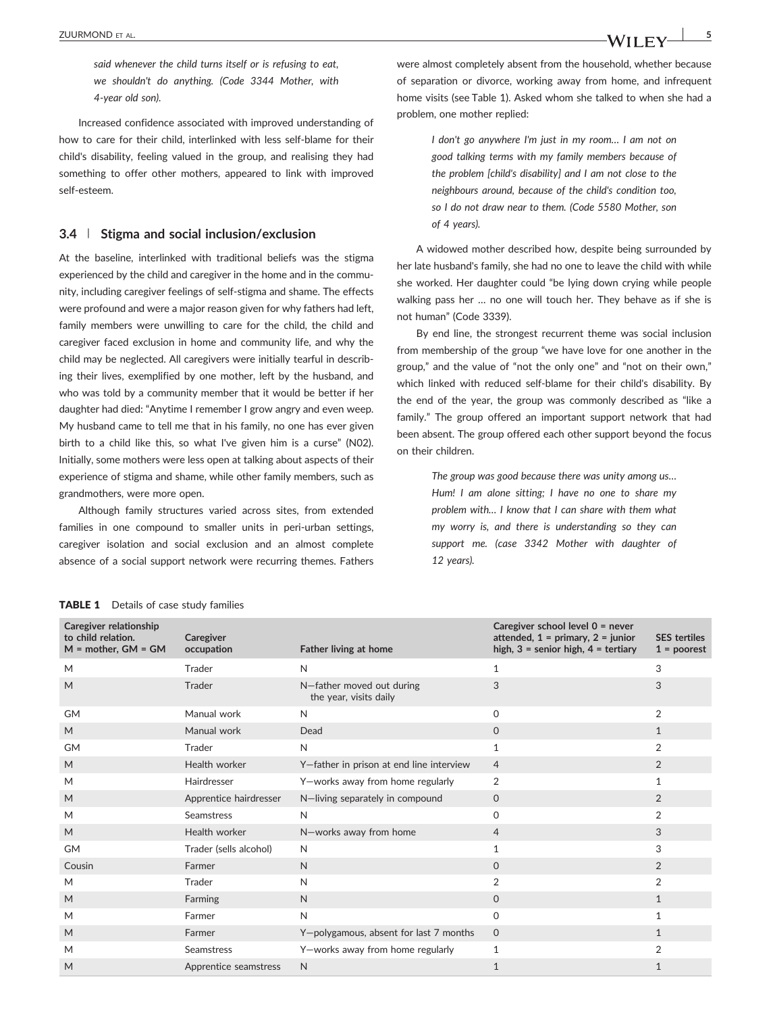*said whenever the child turns itself or is refusing to eat, we shouldn't do anything. (Code 3344 Mother, with 4‐year old son).*

Increased confidence associated with improved understanding of how to care for their child, interlinked with less self‐blame for their child's disability, feeling valued in the group, and realising they had something to offer other mothers, appeared to link with improved self‐esteem.

#### **3.4** | **Stigma and social inclusion/exclusion**

At the baseline, interlinked with traditional beliefs was the stigma experienced by the child and caregiver in the home and in the community, including caregiver feelings of self‐stigma and shame. The effects were profound and were a major reason given for why fathers had left, family members were unwilling to care for the child, the child and caregiver faced exclusion in home and community life, and why the child may be neglected. All caregivers were initially tearful in describing their lives, exemplified by one mother, left by the husband, and who was told by a community member that it would be better if her daughter had died: "Anytime I remember I grow angry and even weep. My husband came to tell me that in his family, no one has ever given birth to a child like this, so what I've given him is a curse" (N02). Initially, some mothers were less open at talking about aspects of their experience of stigma and shame, while other family members, such as grandmothers, were more open.

Although family structures varied across sites, from extended families in one compound to smaller units in peri-urban settings, caregiver isolation and social exclusion and an almost complete absence of a social support network were recurring themes. Fathers

were almost completely absent from the household, whether because of separation or divorce, working away from home, and infrequent home visits (see Table 1). Asked whom she talked to when she had a problem, one mother replied:

> *I don't go anywhere I'm just in my room… I am not on good talking terms with my family members because of the problem [child's disability] and I am not close to the neighbours around, because of the child's condition too, so I do not draw near to them. (Code 5580 Mother, son of 4 years).*

A widowed mother described how, despite being surrounded by her late husband's family, she had no one to leave the child with while she worked. Her daughter could "be lying down crying while people walking pass her … no one will touch her. They behave as if she is not human" (Code 3339).

By end line, the strongest recurrent theme was social inclusion from membership of the group "we have love for one another in the group," and the value of "not the only one" and "not on their own," which linked with reduced self-blame for their child's disability. By the end of the year, the group was commonly described as "like a family." The group offered an important support network that had been absent. The group offered each other support beyond the focus on their children.

> *The group was good because there was unity among us… Hum! I am alone sitting; I have no one to share my problem with… I know that I can share with them what my worry is, and there is understanding so they can support me. (case 3342 Mother with daughter of 12 years).*

| Caregiver relationship<br>to child relation.<br>$M = mother$ , $GM = GM$ | Caregiver<br>occupation | Father living at home                               | Caregiver school level 0 = never<br>attended, $1 =$ primary, $2 =$ junior<br>high, $3 =$ senior high, $4 =$ tertiary | <b>SES</b> tertiles<br>$1 =$ poorest |
|--------------------------------------------------------------------------|-------------------------|-----------------------------------------------------|----------------------------------------------------------------------------------------------------------------------|--------------------------------------|
| M                                                                        | Trader                  | N                                                   | 1                                                                                                                    | 3                                    |
| M                                                                        | Trader                  | N-father moved out during<br>the year, visits daily | 3                                                                                                                    | 3                                    |
| <b>GM</b>                                                                | Manual work             | N                                                   | $\Omega$                                                                                                             | 2                                    |
| M                                                                        | Manual work             | Dead                                                | $\mathbf{O}$                                                                                                         | 1                                    |
| <b>GM</b>                                                                | Trader                  | $\mathsf{N}$                                        | 1                                                                                                                    | $\overline{2}$                       |
| M                                                                        | Health worker           | Y-father in prison at end line interview            | $\overline{4}$                                                                                                       | $\overline{2}$                       |
| M                                                                        | Hairdresser             | Y-works away from home regularly                    | $\overline{2}$                                                                                                       | 1                                    |
| M                                                                        | Apprentice hairdresser  | N-living separately in compound                     | $\mathbf{0}$                                                                                                         | $\overline{2}$                       |
| M                                                                        | <b>Seamstress</b>       | N                                                   | $\Omega$                                                                                                             | $\overline{2}$                       |
| M                                                                        | Health worker           | N-works away from home                              | $\overline{4}$                                                                                                       | 3                                    |
| <b>GM</b>                                                                | Trader (sells alcohol)  | N                                                   | 1                                                                                                                    | 3                                    |
| Cousin                                                                   | Farmer                  | $\mathsf{N}$                                        | $\mathbf{O}$                                                                                                         | $\overline{2}$                       |
| M                                                                        | Trader                  | N                                                   | $\overline{2}$                                                                                                       | $\overline{2}$                       |
| M                                                                        | Farming                 | $\mathsf{N}$                                        | $\mathbf{0}$                                                                                                         | $\mathbf{1}$                         |
| M                                                                        | Farmer                  | N                                                   | $\mathbf 0$                                                                                                          | $\mathbf{1}$                         |
| M                                                                        | Farmer                  | Y-polygamous, absent for last 7 months              | $\mathbf{0}$                                                                                                         | $\mathbf{1}$                         |
| M                                                                        | <b>Seamstress</b>       | Y-works away from home regularly                    | 1                                                                                                                    | $\overline{2}$                       |
| M                                                                        | Apprentice seamstress   | $\mathsf{N}$                                        | 1                                                                                                                    | 1                                    |

#### TABLE 1 Details of case study families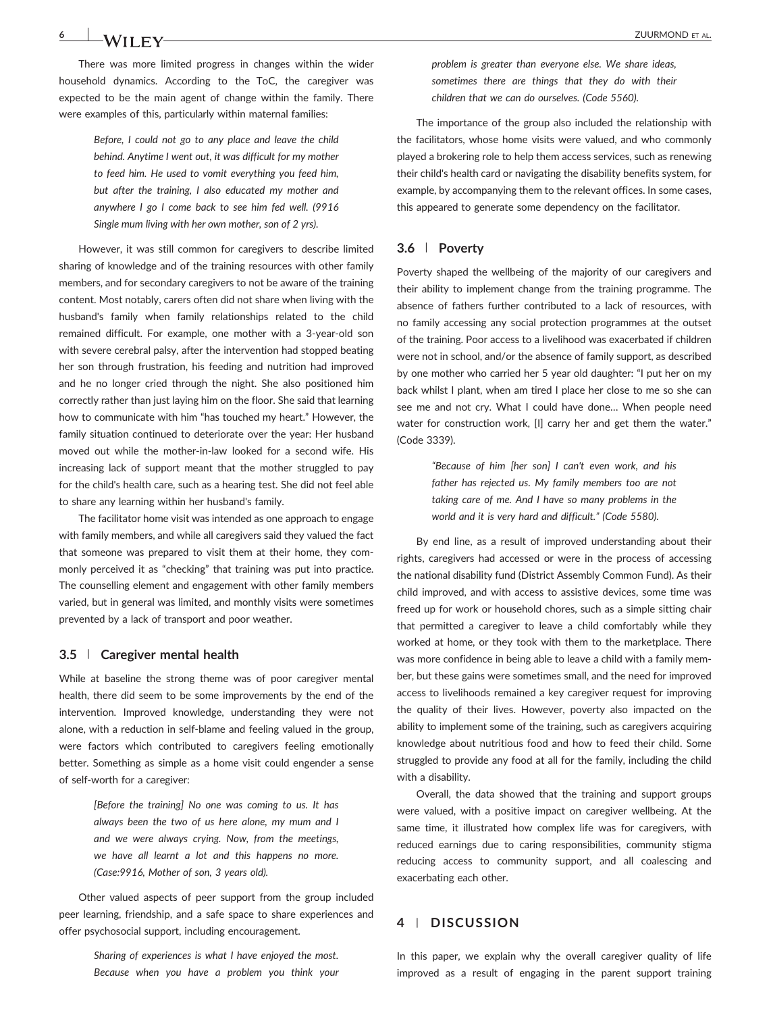There was more limited progress in changes within the wider household dynamics. According to the ToC, the caregiver was expected to be the main agent of change within the family. There were examples of this, particularly within maternal families:

> *Before, I could not go to any place and leave the child behind. Anytime I went out, it was difficult for my mother to feed him. He used to vomit everything you feed him, but after the training, I also educated my mother and anywhere I go I come back to see him fed well. (9916 Single mum living with her own mother, son of 2 yrs).*

However, it was still common for caregivers to describe limited sharing of knowledge and of the training resources with other family members, and for secondary caregivers to not be aware of the training content. Most notably, carers often did not share when living with the husband's family when family relationships related to the child remained difficult. For example, one mother with a 3‐year‐old son with severe cerebral palsy, after the intervention had stopped beating her son through frustration, his feeding and nutrition had improved and he no longer cried through the night. She also positioned him correctly rather than just laying him on the floor. She said that learning how to communicate with him "has touched my heart." However, the family situation continued to deteriorate over the year: Her husband moved out while the mother‐in‐law looked for a second wife. His increasing lack of support meant that the mother struggled to pay for the child's health care, such as a hearing test. She did not feel able to share any learning within her husband's family.

The facilitator home visit was intended as one approach to engage with family members, and while all caregivers said they valued the fact that someone was prepared to visit them at their home, they commonly perceived it as "checking" that training was put into practice. The counselling element and engagement with other family members varied, but in general was limited, and monthly visits were sometimes prevented by a lack of transport and poor weather.

#### **3.5** | **Caregiver mental health**

While at baseline the strong theme was of poor caregiver mental health, there did seem to be some improvements by the end of the intervention. Improved knowledge, understanding they were not alone, with a reduction in self‐blame and feeling valued in the group, were factors which contributed to caregivers feeling emotionally better. Something as simple as a home visit could engender a sense of self‐worth for a caregiver:

> *[Before the training] No one was coming to us. It has always been the two of us here alone, my mum and I and we were always crying. Now, from the meetings, we have all learnt a lot and this happens no more. (Case:9916, Mother of son, 3 years old).*

Other valued aspects of peer support from the group included peer learning, friendship, and a safe space to share experiences and offer psychosocial support, including encouragement.

> *Sharing of experiences is what I have enjoyed the most. Because when you have a problem you think your*

*problem is greater than everyone else. We share ideas, sometimes there are things that they do with their children that we can do ourselves. (Code 5560).*

The importance of the group also included the relationship with the facilitators, whose home visits were valued, and who commonly played a brokering role to help them access services, such as renewing their child's health card or navigating the disability benefits system, for example, by accompanying them to the relevant offices. In some cases, this appeared to generate some dependency on the facilitator.

#### **3.6** | **Poverty**

Poverty shaped the wellbeing of the majority of our caregivers and their ability to implement change from the training programme. The absence of fathers further contributed to a lack of resources, with no family accessing any social protection programmes at the outset of the training. Poor access to a livelihood was exacerbated if children were not in school, and/or the absence of family support, as described by one mother who carried her 5 year old daughter: "I put her on my back whilst I plant, when am tired I place her close to me so she can see me and not cry. What I could have done… When people need water for construction work, [I] carry her and get them the water." (Code 3339).

> *"Because of him [her son] I can't even work, and his father has rejected us. My family members too are not taking care of me. And I have so many problems in the world and it is very hard and difficult." (Code 5580).*

By end line, as a result of improved understanding about their rights, caregivers had accessed or were in the process of accessing the national disability fund (District Assembly Common Fund). As their child improved, and with access to assistive devices, some time was freed up for work or household chores, such as a simple sitting chair that permitted a caregiver to leave a child comfortably while they worked at home, or they took with them to the marketplace. There was more confidence in being able to leave a child with a family member, but these gains were sometimes small, and the need for improved access to livelihoods remained a key caregiver request for improving the quality of their lives. However, poverty also impacted on the ability to implement some of the training, such as caregivers acquiring knowledge about nutritious food and how to feed their child. Some struggled to provide any food at all for the family, including the child with a disability.

Overall, the data showed that the training and support groups were valued, with a positive impact on caregiver wellbeing. At the same time, it illustrated how complex life was for caregivers, with reduced earnings due to caring responsibilities, community stigma reducing access to community support, and all coalescing and exacerbating each other.

### **4** | **DISCUSSION**

In this paper, we explain why the overall caregiver quality of life improved as a result of engaging in the parent support training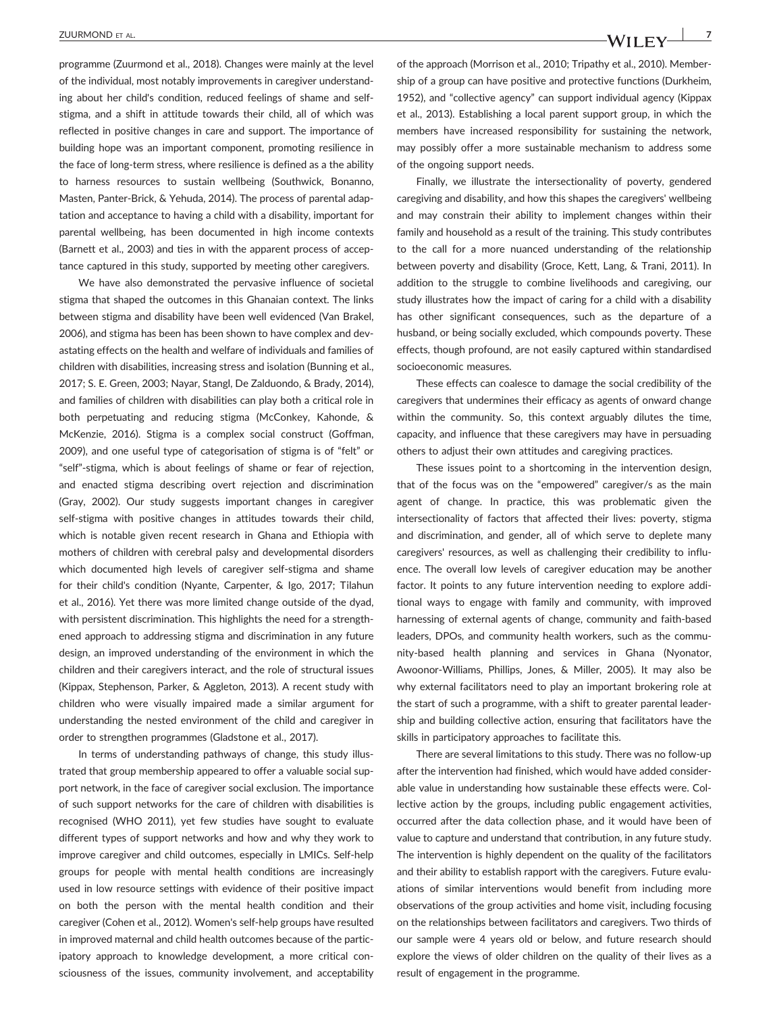programme (Zuurmond et al., 2018). Changes were mainly at the level of the individual, most notably improvements in caregiver understanding about her child's condition, reduced feelings of shame and self‐ stigma, and a shift in attitude towards their child, all of which was reflected in positive changes in care and support. The importance of building hope was an important component, promoting resilience in the face of long‐term stress, where resilience is defined as a the ability to harness resources to sustain wellbeing (Southwick, Bonanno, Masten, Panter‐Brick, & Yehuda, 2014). The process of parental adaptation and acceptance to having a child with a disability, important for parental wellbeing, has been documented in high income contexts (Barnett et al., 2003) and ties in with the apparent process of acceptance captured in this study, supported by meeting other caregivers.

We have also demonstrated the pervasive influence of societal stigma that shaped the outcomes in this Ghanaian context. The links between stigma and disability have been well evidenced (Van Brakel, 2006), and stigma has been has been shown to have complex and devastating effects on the health and welfare of individuals and families of children with disabilities, increasing stress and isolation (Bunning et al., 2017; S. E. Green, 2003; Nayar, Stangl, De Zalduondo, & Brady, 2014), and families of children with disabilities can play both a critical role in both perpetuating and reducing stigma (McConkey, Kahonde, & McKenzie, 2016). Stigma is a complex social construct (Goffman, 2009), and one useful type of categorisation of stigma is of "felt" or "self"‐stigma, which is about feelings of shame or fear of rejection, and enacted stigma describing overt rejection and discrimination (Gray, 2002). Our study suggests important changes in caregiver self-stigma with positive changes in attitudes towards their child, which is notable given recent research in Ghana and Ethiopia with mothers of children with cerebral palsy and developmental disorders which documented high levels of caregiver self‐stigma and shame for their child's condition (Nyante, Carpenter, & Igo, 2017; Tilahun et al., 2016). Yet there was more limited change outside of the dyad, with persistent discrimination. This highlights the need for a strengthened approach to addressing stigma and discrimination in any future design, an improved understanding of the environment in which the children and their caregivers interact, and the role of structural issues (Kippax, Stephenson, Parker, & Aggleton, 2013). A recent study with children who were visually impaired made a similar argument for understanding the nested environment of the child and caregiver in order to strengthen programmes (Gladstone et al., 2017).

In terms of understanding pathways of change, this study illustrated that group membership appeared to offer a valuable social support network, in the face of caregiver social exclusion. The importance of such support networks for the care of children with disabilities is recognised (WHO 2011), yet few studies have sought to evaluate different types of support networks and how and why they work to improve caregiver and child outcomes, especially in LMICs. Self‐help groups for people with mental health conditions are increasingly used in low resource settings with evidence of their positive impact on both the person with the mental health condition and their caregiver (Cohen et al., 2012). Women's self‐help groups have resulted in improved maternal and child health outcomes because of the participatory approach to knowledge development, a more critical consciousness of the issues, community involvement, and acceptability of the approach (Morrison et al., 2010; Tripathy et al., 2010). Membership of a group can have positive and protective functions (Durkheim, 1952), and "collective agency" can support individual agency (Kippax et al., 2013). Establishing a local parent support group, in which the members have increased responsibility for sustaining the network, may possibly offer a more sustainable mechanism to address some of the ongoing support needs.

Finally, we illustrate the intersectionality of poverty, gendered caregiving and disability, and how this shapes the caregivers' wellbeing and may constrain their ability to implement changes within their family and household as a result of the training. This study contributes to the call for a more nuanced understanding of the relationship between poverty and disability (Groce, Kett, Lang, & Trani, 2011). In addition to the struggle to combine livelihoods and caregiving, our study illustrates how the impact of caring for a child with a disability has other significant consequences, such as the departure of a husband, or being socially excluded, which compounds poverty. These effects, though profound, are not easily captured within standardised socioeconomic measures.

These effects can coalesce to damage the social credibility of the caregivers that undermines their efficacy as agents of onward change within the community. So, this context arguably dilutes the time, capacity, and influence that these caregivers may have in persuading others to adjust their own attitudes and caregiving practices.

These issues point to a shortcoming in the intervention design, that of the focus was on the "empowered" caregiver/s as the main agent of change. In practice, this was problematic given the intersectionality of factors that affected their lives: poverty, stigma and discrimination, and gender, all of which serve to deplete many caregivers' resources, as well as challenging their credibility to influence. The overall low levels of caregiver education may be another factor. It points to any future intervention needing to explore additional ways to engage with family and community, with improved harnessing of external agents of change, community and faith‐based leaders, DPOs, and community health workers, such as the community‐based health planning and services in Ghana (Nyonator, Awoonor‐Williams, Phillips, Jones, & Miller, 2005). It may also be why external facilitators need to play an important brokering role at the start of such a programme, with a shift to greater parental leadership and building collective action, ensuring that facilitators have the skills in participatory approaches to facilitate this.

There are several limitations to this study. There was no follow‐up after the intervention had finished, which would have added considerable value in understanding how sustainable these effects were. Collective action by the groups, including public engagement activities, occurred after the data collection phase, and it would have been of value to capture and understand that contribution, in any future study. The intervention is highly dependent on the quality of the facilitators and their ability to establish rapport with the caregivers. Future evaluations of similar interventions would benefit from including more observations of the group activities and home visit, including focusing on the relationships between facilitators and caregivers. Two thirds of our sample were 4 years old or below, and future research should explore the views of older children on the quality of their lives as a result of engagement in the programme.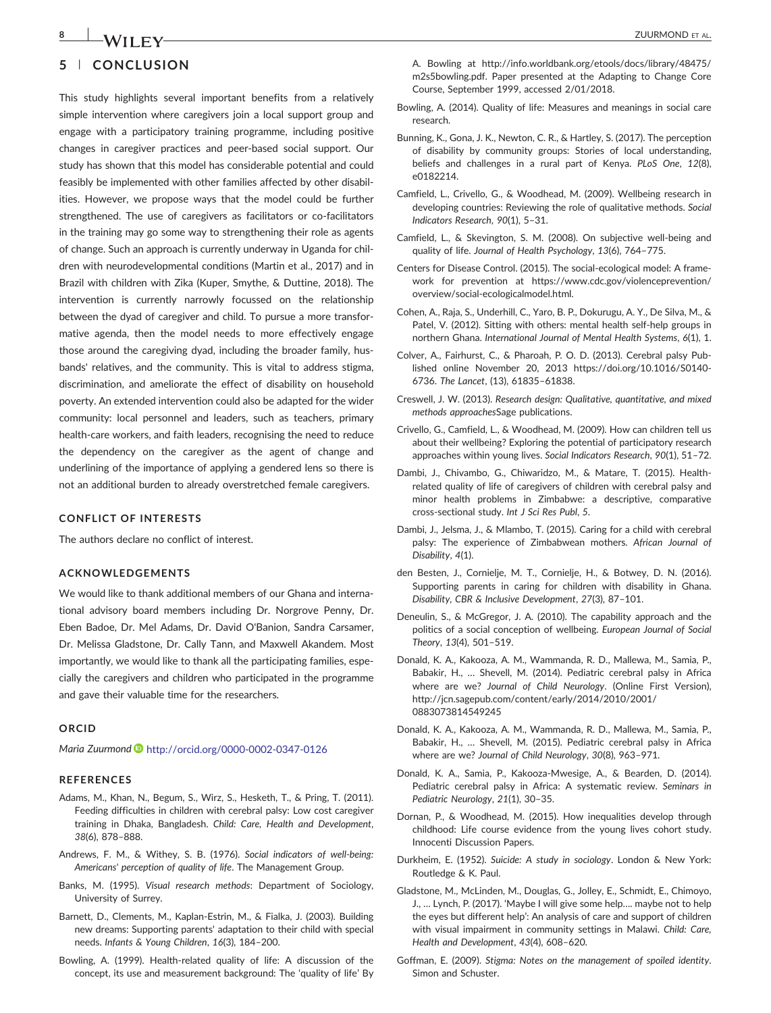## **5** | **CONCLUSION**

This study highlights several important benefits from a relatively simple intervention where caregivers join a local support group and engage with a participatory training programme, including positive changes in caregiver practices and peer‐based social support. Our study has shown that this model has considerable potential and could feasibly be implemented with other families affected by other disabilities. However, we propose ways that the model could be further strengthened. The use of caregivers as facilitators or co-facilitators in the training may go some way to strengthening their role as agents of change. Such an approach is currently underway in Uganda for children with neurodevelopmental conditions (Martin et al., 2017) and in Brazil with children with Zika (Kuper, Smythe, & Duttine, 2018). The intervention is currently narrowly focussed on the relationship between the dyad of caregiver and child. To pursue a more transformative agenda, then the model needs to more effectively engage those around the caregiving dyad, including the broader family, husbands' relatives, and the community. This is vital to address stigma, discrimination, and ameliorate the effect of disability on household poverty. An extended intervention could also be adapted for the wider community: local personnel and leaders, such as teachers, primary health-care workers, and faith leaders, recognising the need to reduce the dependency on the caregiver as the agent of change and underlining of the importance of applying a gendered lens so there is not an additional burden to already overstretched female caregivers.

#### **CONFLICT OF INTERESTS**

The authors declare no conflict of interest.

#### **ACKNOWLEDGEMENTS**

We would like to thank additional members of our Ghana and international advisory board members including Dr. Norgrove Penny, Dr. Eben Badoe, Dr. Mel Adams, Dr. David O'Banion, Sandra Carsamer, Dr. Melissa Gladstone, Dr. Cally Tann, and Maxwell Akandem. Most importantly, we would like to thank all the participating families, especially the caregivers and children who participated in the programme and gave their valuable time for the researchers.

#### **ORCID**

*Maria Zuurmond* <http://orcid.org/0000-0002-0347-0126>

#### **REFERENCES**

- Adams, M., Khan, N., Begum, S., Wirz, S., Hesketh, T., & Pring, T. (2011). Feeding difficulties in children with cerebral palsy: Low cost caregiver training in Dhaka, Bangladesh. *Child: Care, Health and Development*, *38*(6), 878–888.
- Andrews, F. M., & Withey, S. B. (1976). *Social indicators of well‐being: Americans' perception of quality of life*. The Management Group.
- Banks, M. (1995). *Visual research methods*: Department of Sociology, University of Surrey.
- Barnett, D., Clements, M., Kaplan‐Estrin, M., & Fialka, J. (2003). Building new dreams: Supporting parents' adaptation to their child with special needs. *Infants & Young Children*, *16*(3), 184–200.
- Bowling, A. (1999). Health‐related quality of life: A discussion of the concept, its use and measurement background: The 'quality of life' By

A. Bowling at [http://info.worldbank.org/etools/docs/library/48475/](http://info.worldbank.org/etools/docs/library/48475/m2s5bowling.pdf) [m2s5bowling.pdf.](http://info.worldbank.org/etools/docs/library/48475/m2s5bowling.pdf) Paper presented at the Adapting to Change Core Course, September 1999, accessed 2/01/2018.

- Bowling, A. (2014). Quality of life: Measures and meanings in social care research.
- Bunning, K., Gona, J. K., Newton, C. R., & Hartley, S. (2017). The perception of disability by community groups: Stories of local understanding, beliefs and challenges in a rural part of Kenya. *PLoS One*, *12*(8), e0182214.
- Camfield, L., Crivello, G., & Woodhead, M. (2009). Wellbeing research in developing countries: Reviewing the role of qualitative methods. *Social Indicators Research*, *90*(1), 5–31.
- Camfield, L., & Skevington, S. M. (2008). On subjective well‐being and quality of life. *Journal of Health Psychology*, *13*(6), 764–775.
- Centers for Disease Control. (2015). The social‐ecological model: A framework for prevention at [https://www.cdc.gov/violenceprevention/](https://www.cdc.gov/violenceprevention/overview/social-ecologicalmodel.html) overview/social‐[ecologicalmodel.html](https://www.cdc.gov/violenceprevention/overview/social-ecologicalmodel.html).
- Cohen, A., Raja, S., Underhill, C., Yaro, B. P., Dokurugu, A. Y., De Silva, M., & Patel, V. (2012). Sitting with others: mental health self-help groups in northern Ghana. *International Journal of Mental Health Systems*, *6*(1), 1.
- Colver, A., Fairhurst, C., & Pharoah, P. O. D. (2013). Cerebral palsy Published online November 20, 2013 [https://doi.org/10.1016/S0140](https://doi.org/10.1016/S0140-6736)‐ [6736.](https://doi.org/10.1016/S0140-6736) *The Lancet*, (13), 61835–61838.
- Creswell, J. W. (2013). *Research design: Qualitative, quantitative, and mixed methods approaches*Sage publications.
- Crivello, G., Camfield, L., & Woodhead, M. (2009). How can children tell us about their wellbeing? Exploring the potential of participatory research approaches within young lives. *Social Indicators Research*, *90*(1), 51–72.
- Dambi, J., Chivambo, G., Chiwaridzo, M., & Matare, T. (2015). Healthrelated quality of life of caregivers of children with cerebral palsy and minor health problems in Zimbabwe: a descriptive, comparative cross‐sectional study. *Int J Sci Res Publ*, *5*.
- Dambi, J., Jelsma, J., & Mlambo, T. (2015). Caring for a child with cerebral palsy: The experience of Zimbabwean mothers. *African Journal of Disability*, *4*(1).
- den Besten, J., Cornielje, M. T., Cornielje, H., & Botwey, D. N. (2016). Supporting parents in caring for children with disability in Ghana. *Disability, CBR & Inclusive Development*, *27*(3), 87–101.
- Deneulin, S., & McGregor, J. A. (2010). The capability approach and the politics of a social conception of wellbeing. *European Journal of Social Theory*, *13*(4), 501–519.
- Donald, K. A., Kakooza, A. M., Wammanda, R. D., Mallewa, M., Samia, P., Babakir, H., … Shevell, M. (2014). Pediatric cerebral palsy in Africa where are we? *Journal of Child Neurology*. (Online First Version), [http://jcn.sagepub.com/content/early/2014/2010/2001/](http://jcn.sagepub.com/content/early/2014/2010/2001/0883073814549245) [0883073814549245](http://jcn.sagepub.com/content/early/2014/2010/2001/0883073814549245)
- Donald, K. A., Kakooza, A. M., Wammanda, R. D., Mallewa, M., Samia, P., Babakir, H., … Shevell, M. (2015). Pediatric cerebral palsy in Africa where are we? *Journal of Child Neurology*, *30*(8), 963–971.
- Donald, K. A., Samia, P., Kakooza‐Mwesige, A., & Bearden, D. (2014). Pediatric cerebral palsy in Africa: A systematic review. *Seminars in Pediatric Neurology*, *21*(1), 30–35.
- Dornan, P., & Woodhead, M. (2015). How inequalities develop through childhood: Life course evidence from the young lives cohort study. Innocenti Discussion Papers.
- Durkheim, E. (1952). *Suicide: A study in sociology*. London & New York: Routledge & K. Paul.
- Gladstone, M., McLinden, M., Douglas, G., Jolley, E., Schmidt, E., Chimoyo, J., … Lynch, P. (2017). 'Maybe I will give some help…. maybe not to help the eyes but different help': An analysis of care and support of children with visual impairment in community settings in Malawi. *Child: Care, Health and Development*, *43*(4), 608–620.
- Goffman, E. (2009). *Stigma: Notes on the management of spoiled identity*. Simon and Schuster.